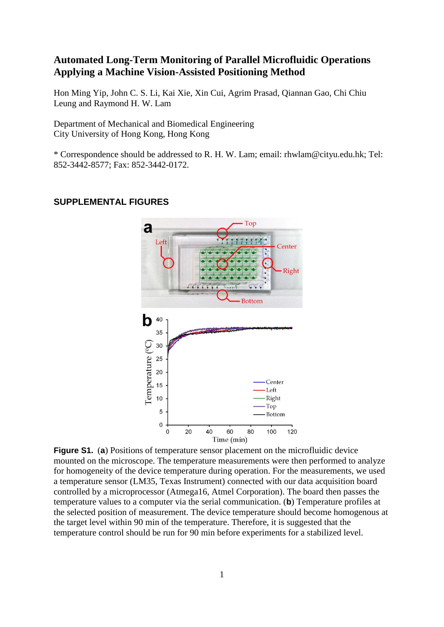## **Automated Long-Term Monitoring of Parallel Microfluidic Operations Applying a Machine Vision-Assisted Positioning Method**

Hon Ming Yip, John C. S. Li, Kai Xie, Xin Cui, Agrim Prasad, Qiannan Gao, Chi Chiu Leung and Raymond H. W. Lam

Department of Mechanical and Biomedical Engineering City University of Hong Kong, Hong Kong

\* Correspondence should be addressed to R. H. W. Lam; email: rhwlam@cityu.edu.hk; Tel: 852-3442-8577; Fax: 852-3442-0172.

## Top a Left Center **Right Bottom** b 40 35 Temperature (°C) 30 25 20 Center 15 Left Right 10 Top 5 Bottom  $\mathbf 0$  $20$ 60 100  $\sqrt{2}$ 40 80 120 Time (min)

## **SUPPLEMENTAL FIGURES**

**Figure S1.** (**a**) Positions of temperature sensor placement on the microfluidic device mounted on the microscope. The temperature measurements were then performed to analyze for homogeneity of the device temperature during operation. For the measurements, we used a temperature sensor (LM35, Texas Instrument) connected with our data acquisition board controlled by a microprocessor (Atmega16, Atmel Corporation). The board then passes the temperature values to a computer via the serial communication. (**b**) Temperature profiles at the selected position of measurement. The device temperature should become homogenous at the target level within 90 min of the temperature. Therefore, it is suggested that the temperature control should be run for 90 min before experiments for a stabilized level.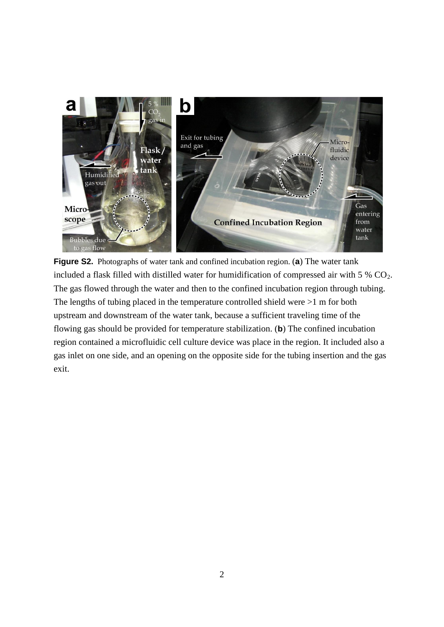

**Figure S2.** Photographs of water tank and confined incubation region. (**a**) The water tank included a flask filled with distilled water for humidification of compressed air with  $5\%$  CO<sub>2</sub>. The gas flowed through the water and then to the confined incubation region through tubing. The lengths of tubing placed in the temperature controlled shield were >1 m for both upstream and downstream of the water tank, because a sufficient traveling time of the flowing gas should be provided for temperature stabilization. (**b**) The confined incubation region contained a microfluidic cell culture device was place in the region. It included also a gas inlet on one side, and an opening on the opposite side for the tubing insertion and the gas exit.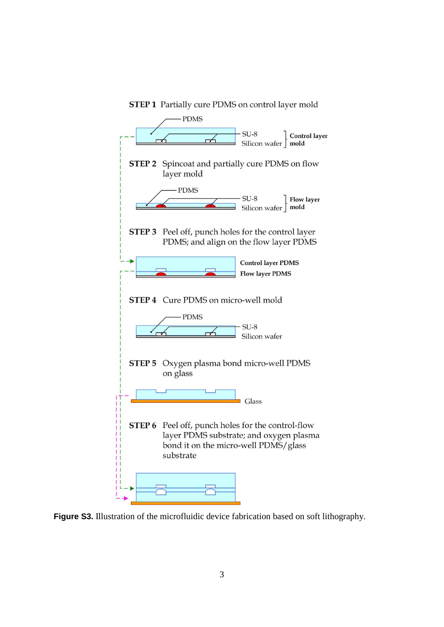

**Figure S3.** Illustration of the microfluidic device fabrication based on soft lithography.